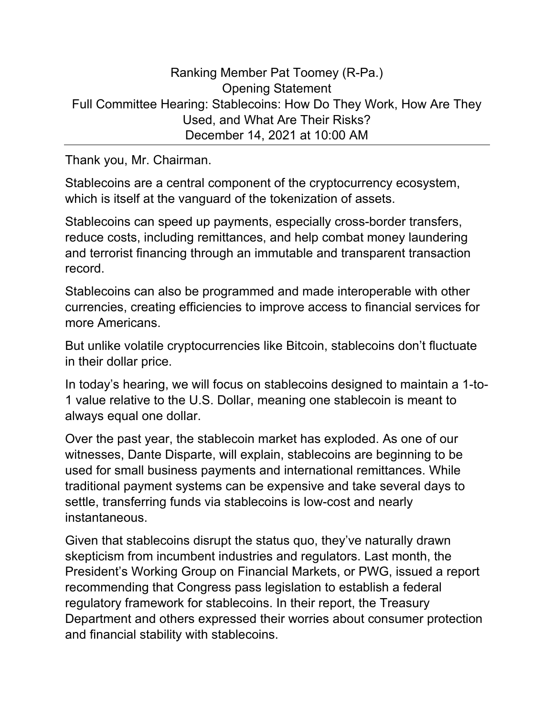## Ranking Member Pat Toomey (R-Pa.) Opening Statement Full Committee Hearing: Stablecoins: How Do They Work, How Are They Used, and What Are Their Risks? December 14, 2021 at 10:00 AM

Thank you, Mr. Chairman.

Stablecoins are a central component of the cryptocurrency ecosystem, which is itself at the vanguard of the tokenization of assets.

Stablecoins can speed up payments, especially cross-border transfers, reduce costs, including remittances, and help combat money laundering and terrorist financing through an immutable and transparent transaction record.

Stablecoins can also be programmed and made interoperable with other currencies, creating efficiencies to improve access to financial services for more Americans.

But unlike volatile cryptocurrencies like Bitcoin, stablecoins don't fluctuate in their dollar price.

In today's hearing, we will focus on stablecoins designed to maintain a 1-to-1 value relative to the U.S. Dollar, meaning one stablecoin is meant to always equal one dollar.

Over the past year, the stablecoin market has exploded. As one of our witnesses, Dante Disparte, will explain, stablecoins are beginning to be used for small business payments and international remittances. While traditional payment systems can be expensive and take several days to settle, transferring funds via stablecoins is low-cost and nearly instantaneous.

Given that stablecoins disrupt the status quo, they've naturally drawn skepticism from incumbent industries and regulators. Last month, the President's Working Group on Financial Markets, or PWG, issued a report recommending that Congress pass legislation to establish a federal regulatory framework for stablecoins. In their report, the Treasury Department and others expressed their worries about consumer protection and financial stability with stablecoins.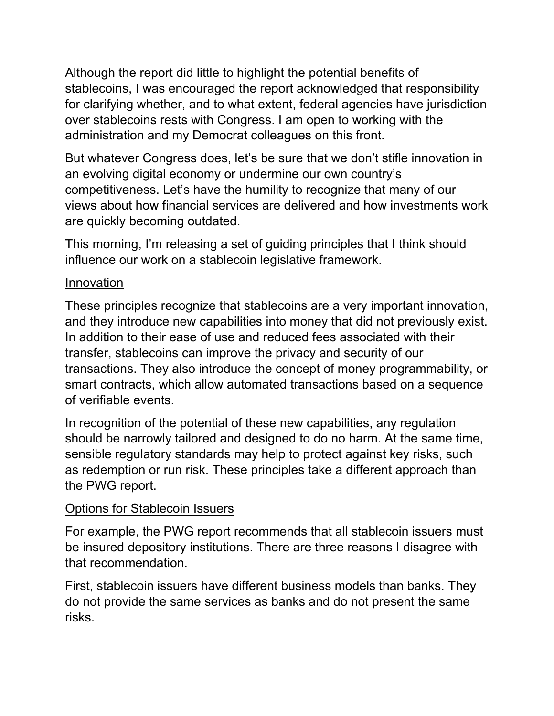Although the report did little to highlight the potential benefits of stablecoins, I was encouraged the report acknowledged that responsibility for clarifying whether, and to what extent, federal agencies have jurisdiction over stablecoins rests with Congress. I am open to working with the administration and my Democrat colleagues on this front.

But whatever Congress does, let's be sure that we don't stifle innovation in an evolving digital economy or undermine our own country's competitiveness. Let's have the humility to recognize that many of our views about how financial services are delivered and how investments work are quickly becoming outdated.

This morning, I'm releasing a set of guiding principles that I think should influence our work on a stablecoin legislative framework.

## Innovation

These principles recognize that stablecoins are a very important innovation, and they introduce new capabilities into money that did not previously exist. In addition to their ease of use and reduced fees associated with their transfer, stablecoins can improve the privacy and security of our transactions. They also introduce the concept of money programmability, or smart contracts, which allow automated transactions based on a sequence of verifiable events.

In recognition of the potential of these new capabilities, any regulation should be narrowly tailored and designed to do no harm. At the same time, sensible regulatory standards may help to protect against key risks, such as redemption or run risk. These principles take a different approach than the PWG report.

## Options for Stablecoin Issuers

For example, the PWG report recommends that all stablecoin issuers must be insured depository institutions. There are three reasons I disagree with that recommendation.

First, stablecoin issuers have different business models than banks. They do not provide the same services as banks and do not present the same risks.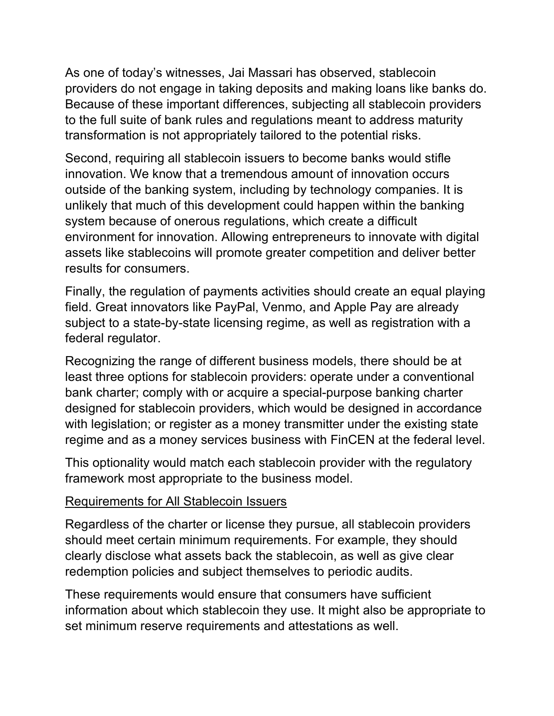As one of today's witnesses, Jai Massari has observed, stablecoin providers do not engage in taking deposits and making loans like banks do. Because of these important differences, subjecting all stablecoin providers to the full suite of bank rules and regulations meant to address maturity transformation is not appropriately tailored to the potential risks.

Second, requiring all stablecoin issuers to become banks would stifle innovation. We know that a tremendous amount of innovation occurs outside of the banking system, including by technology companies. It is unlikely that much of this development could happen within the banking system because of onerous regulations, which create a difficult environment for innovation. Allowing entrepreneurs to innovate with digital assets like stablecoins will promote greater competition and deliver better results for consumers.

Finally, the regulation of payments activities should create an equal playing field. Great innovators like PayPal, Venmo, and Apple Pay are already subject to a state-by-state licensing regime, as well as registration with a federal regulator.

Recognizing the range of different business models, there should be at least three options for stablecoin providers: operate under a conventional bank charter; comply with or acquire a special-purpose banking charter designed for stablecoin providers, which would be designed in accordance with legislation; or register as a money transmitter under the existing state regime and as a money services business with FinCEN at the federal level.

This optionality would match each stablecoin provider with the regulatory framework most appropriate to the business model.

## Requirements for All Stablecoin Issuers

Regardless of the charter or license they pursue, all stablecoin providers should meet certain minimum requirements. For example, they should clearly disclose what assets back the stablecoin, as well as give clear redemption policies and subject themselves to periodic audits.

These requirements would ensure that consumers have sufficient information about which stablecoin they use. It might also be appropriate to set minimum reserve requirements and attestations as well.